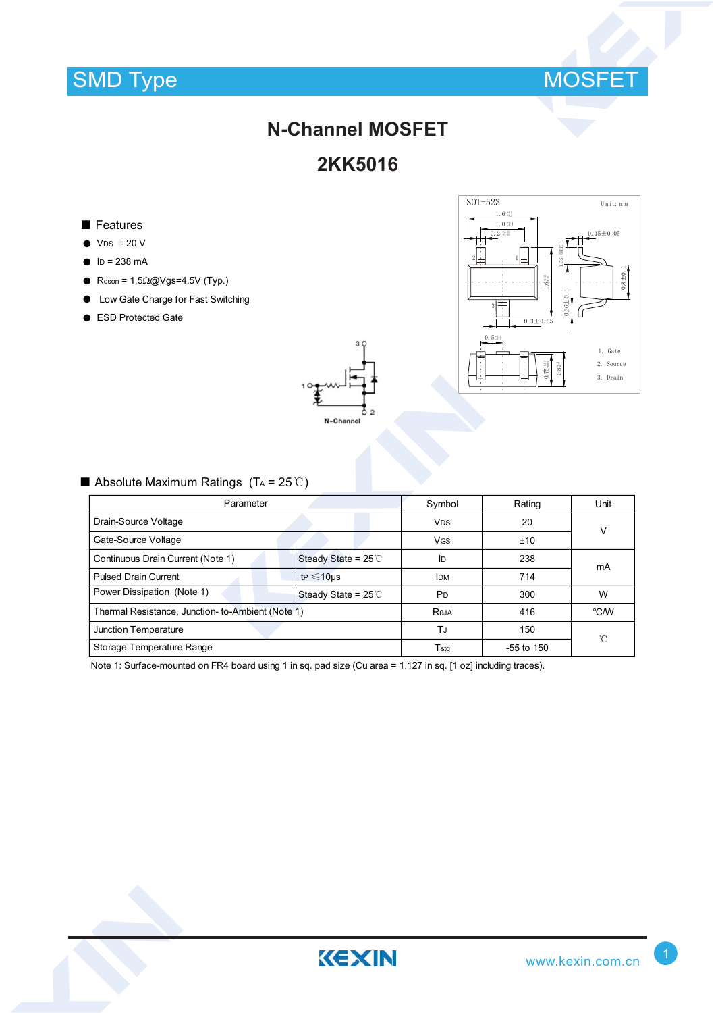

# **N-Channel MOSFET**

### **2KK5016**

#### ■ Features

- $\bullet$  V<sub>DS</sub> = 20 V
- $\bullet$  ID = 238 mA
- Rdson =  $1.5\Omega$ @Vgs=4.5V (Typ.)
- Low Gate Charge for Fast Switching
- ESD Protected Gate





### Absolute Maximum Ratings  $(T_A = 25^{\circ}C)$

| Parameter                                         | Symbol                            | Rating                | Unit           |      |  |
|---------------------------------------------------|-----------------------------------|-----------------------|----------------|------|--|
| Drain-Source Voltage                              |                                   | <b>V<sub>DS</sub></b> | 20             | V    |  |
| Gate-Source Voltage                               |                                   | <b>VGS</b>            | ±10            |      |  |
| Continuous Drain Current (Note 1)                 | Steady State = $25^{\circ}$       | ID                    | 238            | mA   |  |
| <b>Pulsed Drain Current</b>                       | t <sub>P</sub> $\leq$ 10us        | <b>IDM</b>            | 714            |      |  |
| Power Dissipation (Note 1)                        | Steady State = $25^\circ\text{C}$ | <b>P</b> <sub>D</sub> | 300            | W    |  |
| Thermal Resistance, Junction- to-Ambient (Note 1) |                                   | Reja                  | 416            | °C/W |  |
| Junction Temperature                              |                                   | TJ                    | 150            | °C   |  |
| Storage Temperature Range                         |                                   | T <sub>stq</sub>      | $-55$ to $150$ |      |  |

Note 1: Surface-mounted on FR4 board using 1 in sq. pad size (Cu area = 1.127 in sq. [1 oz] including traces).

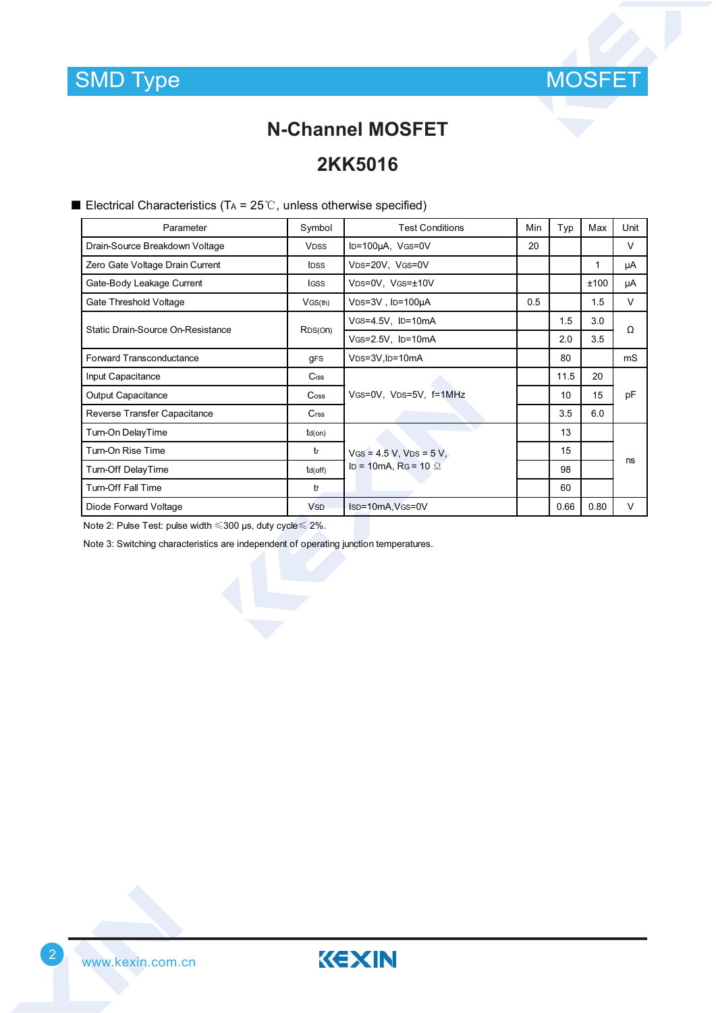

### **N-Channel MOSFET**

### **2KK5016**

Electrical Characteristics (TA =  $25^{\circ}$ C, unless otherwise specified)

| Parameter                         | Symbol                | <b>Test Conditions</b>                                    | Min | Typ  | Max  | Unit   |
|-----------------------------------|-----------------------|-----------------------------------------------------------|-----|------|------|--------|
| Drain-Source Breakdown Voltage    | <b>VDSS</b>           | $ID=100\mu A$ , $VGS=0V$                                  | 20  |      |      | V      |
| Zero Gate Voltage Drain Current   | <b>IDSS</b>           | VDS=20V, VGS=0V                                           |     |      | 1    | μA     |
| Gate-Body Leakage Current         | <b>IGSS</b>           | VDS=0V, VGS=±10V                                          |     |      | ±100 | μA     |
| Gate Threshold Voltage            | VGS(th)               | VDS=3V, ID=100µA                                          | 0.5 |      | 1.5  | $\vee$ |
| Static Drain-Source On-Resistance | R <sub>DS</sub> (On)  | VGS=4.5V, ID=10mA                                         |     | 1.5  | 3.0  | Ω      |
|                                   |                       | VGS=2.5V, ID=10mA                                         |     | 2.0  | 3.5  |        |
| <b>Forward Transconductance</b>   | <b>gFS</b>            | VDS=3V, ID=10mA                                           |     | 80   |      | mS     |
| Input Capacitance                 | Ciss                  |                                                           |     | 11.5 | 20   | pF     |
| Output Capacitance                | $\mathsf{Coss}$       | VGS=0V, VDS=5V, f=1MHz                                    |     | 10   | 15   |        |
| Reverse Transfer Capacitance      | $C$ rss               |                                                           |     | 3.5  | 6.0  |        |
| Turn-On DelayTime                 | $td($ on $)$          | $V$ GS = 4.5 V, VDS = 5 V,<br>ID = 10mA, RG = 10 $\Omega$ |     | 13   |      | ns     |
| Turn-On Rise Time                 | tr                    |                                                           |     | 15   |      |        |
| Turn-Off DelayTime                | $td($ off $)$         |                                                           |     | 98   |      |        |
| <b>Turn-Off Fall Time</b>         | tf                    |                                                           |     | 60   |      |        |
| Diode Forward Voltage             | <b>V<sub>SD</sub></b> | Isp=10mA, VGS=0V                                          |     | 0.66 | 0.80 | v      |

Note 2: Pulse Test: pulse width  $\leqslant$  300 µs, duty cycle $\leqslant$  2%.

Note 3: Switching characteristics are independent of operating junction temperatures.



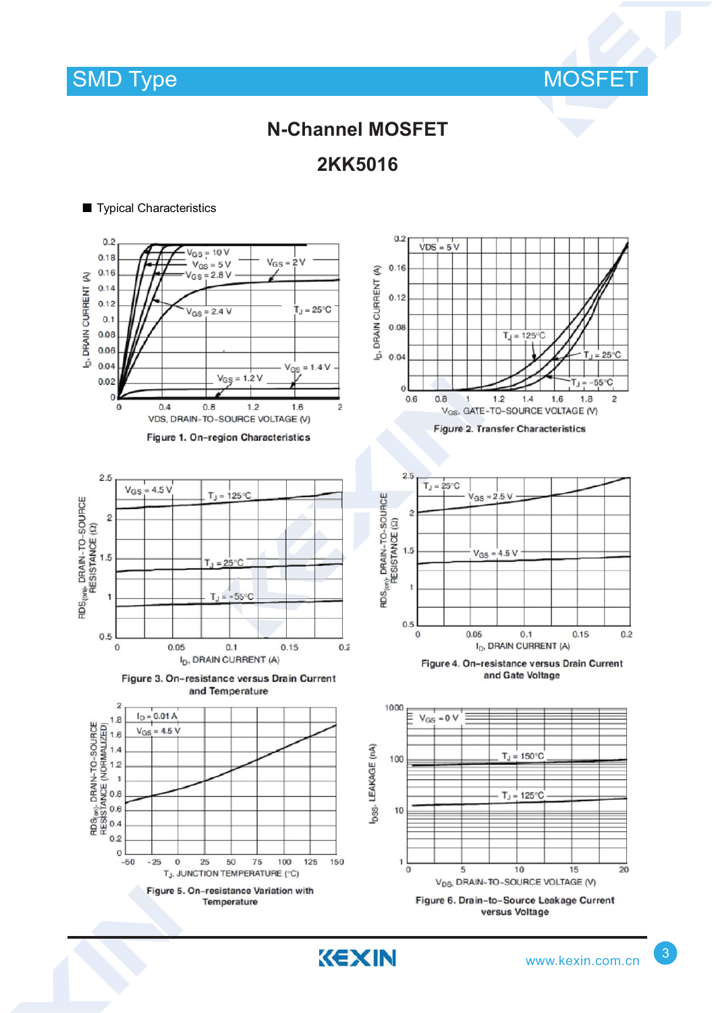

# **N-Channel MOSFET**

**2KK5016**